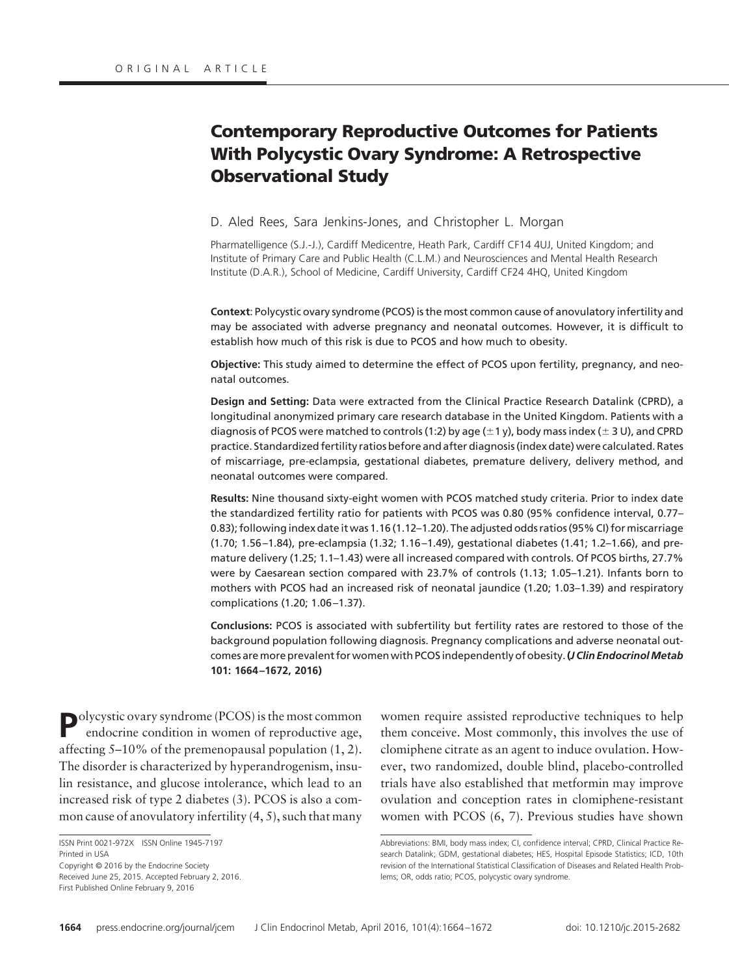# **Contemporary Reproductive Outcomes for Patients With Polycystic Ovary Syndrome: A Retrospective Observational Study**

D. Aled Rees, Sara Jenkins-Jones, and Christopher L. Morgan

Pharmatelligence (S.J.-J.), Cardiff Medicentre, Heath Park, Cardiff CF14 4UJ, United Kingdom; and Institute of Primary Care and Public Health (C.L.M.) and Neurosciences and Mental Health Research Institute (D.A.R.), School of Medicine, Cardiff University, Cardiff CF24 4HQ, United Kingdom

**Context**: Polycystic ovary syndrome (PCOS) is the most common cause of anovulatory infertility and may be associated with adverse pregnancy and neonatal outcomes. However, it is difficult to establish how much of this risk is due to PCOS and how much to obesity.

**Objective:** This study aimed to determine the effect of PCOS upon fertility, pregnancy, and neonatal outcomes.

**Design and Setting:** Data were extracted from the Clinical Practice Research Datalink (CPRD), a longitudinal anonymized primary care research database in the United Kingdom. Patients with a diagnosis of PCOS were matched to controls (1:2) by age ( $\pm$ 1 y), body mass index ( $\pm$  3 U), and CPRD practice. Standardized fertility ratios before and after diagnosis (index date) were calculated. Rates of miscarriage, pre-eclampsia, gestational diabetes, premature delivery, delivery method, and neonatal outcomes were compared.

**Results:** Nine thousand sixty-eight women with PCOS matched study criteria. Prior to index date the standardized fertility ratio for patients with PCOS was 0.80 (95% confidence interval, 0.77– 0.83); following index date it was 1.16 (1.12–1.20). The adjusted odds ratios (95% CI) for miscarriage (1.70; 1.56 –1.84), pre-eclampsia (1.32; 1.16 –1.49), gestational diabetes (1.41; 1.2–1.66), and premature delivery (1.25; 1.1–1.43) were all increased compared with controls. Of PCOS births, 27.7% were by Caesarean section compared with 23.7% of controls (1.13; 1.05–1.21). Infants born to mothers with PCOS had an increased risk of neonatal jaundice (1.20; 1.03–1.39) and respiratory complications (1.20; 1.06 –1.37).

**Conclusions:** PCOS is associated with subfertility but fertility rates are restored to those of the background population following diagnosis. Pregnancy complications and adverse neonatal outcomes aremore prevalent for women with PCOS independently of obesity.**(***J Clin EndocrinolMetab* **101: 1664 –1672, 2016)**

**P**olycystic ovary syndrome (PCOS) is the most common endocrine condition in women of reproductive age, affecting 5–10% of the premenopausal population (1, 2). The disorder is characterized by hyperandrogenism, insulin resistance, and glucose intolerance, which lead to an increased risk of type 2 diabetes (3). PCOS is also a common cause of anovulatory infertility (4, 5), such that many

First Published Online February 9, 2016

women require assisted reproductive techniques to help them conceive. Most commonly, this involves the use of clomiphene citrate as an agent to induce ovulation. However, two randomized, double blind, placebo-controlled trials have also established that metformin may improve ovulation and conception rates in clomiphene-resistant women with PCOS (6, 7). Previous studies have shown

ISSN Print 0021-972X ISSN Online 1945-7197 Printed in USA Copyright © 2016 by the Endocrine Society Received June 25, 2015. Accepted February 2, 2016.

Abbreviations: BMI, body mass index; CI, confidence interval; CPRD, Clinical Practice Research Datalink; GDM, gestational diabetes; HES, Hospital Episode Statistics; ICD, 10th revision of the International Statistical Classification of Diseases and Related Health Problems; OR, odds ratio; PCOS, polycystic ovary syndrome.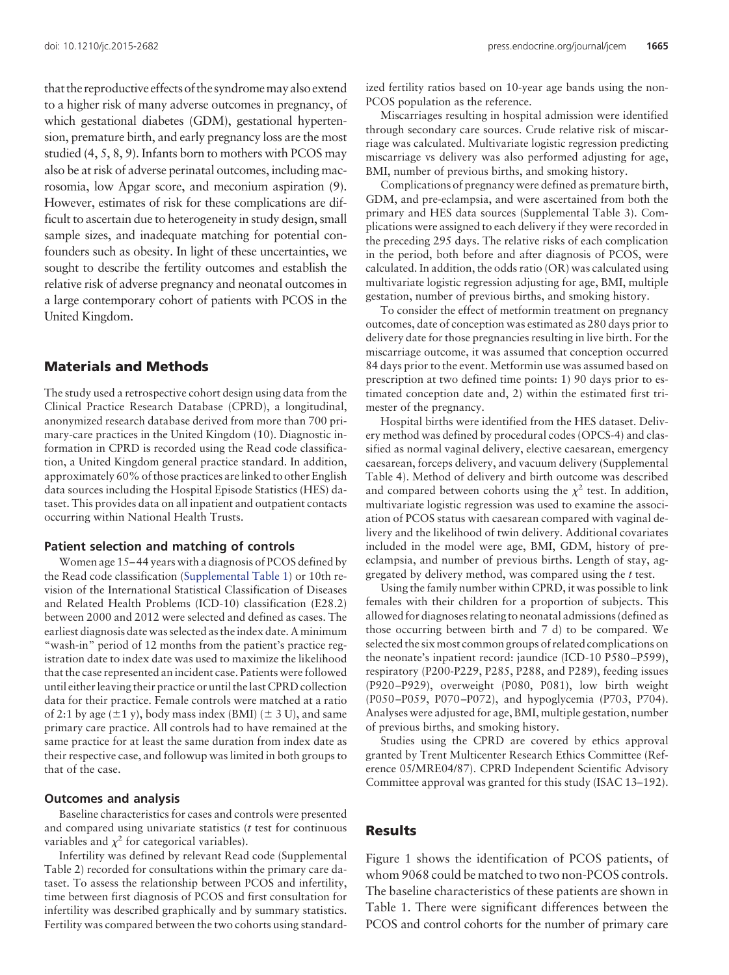that the reproductive effects of the syndromemay also extend to a higher risk of many adverse outcomes in pregnancy, of which gestational diabetes (GDM), gestational hypertension, premature birth, and early pregnancy loss are the most studied (4, 5, 8, 9). Infants born to mothers with PCOS may also be at risk of adverse perinatal outcomes, including macrosomia, low Apgar score, and meconium aspiration (9). However, estimates of risk for these complications are difficult to ascertain due to heterogeneity in study design, small sample sizes, and inadequate matching for potential confounders such as obesity. In light of these uncertainties, we sought to describe the fertility outcomes and establish the relative risk of adverse pregnancy and neonatal outcomes in a large contemporary cohort of patients with PCOS in the United Kingdom.

# **Materials and Methods**

The study used a retrospective cohort design using data from the Clinical Practice Research Database (CPRD), a longitudinal, anonymized research database derived from more than 700 primary-care practices in the United Kingdom (10). Diagnostic information in CPRD is recorded using the Read code classification, a United Kingdom general practice standard. In addition, approximately 60% of those practices are linked to other English data sources including the Hospital Episode Statistics (HES) dataset. This provides data on all inpatient and outpatient contacts occurring within National Health Trusts.

# **Patient selection and matching of controls**

Women age 15– 44 years with a diagnosis of PCOS defined by the Read code classification [\(Supplemental Table 1\)](http://press.endocrine.org/doi/suppl/10.1210/jc.2015-2682/suppl_file/jc-15-2682.pdf) or 10th revision of the International Statistical Classification of Diseases and Related Health Problems (ICD-10) classification (E28.2) between 2000 and 2012 were selected and defined as cases. The earliest diagnosis date was selected as the index date. A minimum "wash-in" period of 12 months from the patient's practice registration date to index date was used to maximize the likelihood that the case represented an incident case. Patients were followed until either leaving their practice or until the last CPRD collection data for their practice. Female controls were matched at a ratio of 2:1 by age  $(\pm 1 \text{ y})$ , body mass index (BMI)  $(\pm 3 \text{ U})$ , and same primary care practice. All controls had to have remained at the same practice for at least the same duration from index date as their respective case, and followup was limited in both groups to that of the case.

# **Outcomes and analysis**

Baseline characteristics for cases and controls were presented and compared using univariate statistics (*t* test for continuous variables and  $\chi^2$  for categorical variables).

Infertility was defined by relevant Read code (Supplemental Table 2) recorded for consultations within the primary care dataset. To assess the relationship between PCOS and infertility, time between first diagnosis of PCOS and first consultation for infertility was described graphically and by summary statistics. Fertility was compared between the two cohorts using standardized fertility ratios based on 10-year age bands using the non-PCOS population as the reference.

Miscarriages resulting in hospital admission were identified through secondary care sources. Crude relative risk of miscarriage was calculated. Multivariate logistic regression predicting miscarriage vs delivery was also performed adjusting for age, BMI, number of previous births, and smoking history.

Complications of pregnancy were defined as premature birth, GDM, and pre-eclampsia, and were ascertained from both the primary and HES data sources (Supplemental Table 3). Complications were assigned to each delivery if they were recorded in the preceding 295 days. The relative risks of each complication in the period, both before and after diagnosis of PCOS, were calculated. In addition, the odds ratio (OR) was calculated using multivariate logistic regression adjusting for age, BMI, multiple gestation, number of previous births, and smoking history.

To consider the effect of metformin treatment on pregnancy outcomes, date of conception was estimated as 280 days prior to delivery date for those pregnancies resulting in live birth. For the miscarriage outcome, it was assumed that conception occurred 84 days prior to the event. Metformin use was assumed based on prescription at two defined time points: 1) 90 days prior to estimated conception date and, 2) within the estimated first trimester of the pregnancy.

Hospital births were identified from the HES dataset. Delivery method was defined by procedural codes (OPCS-4) and classified as normal vaginal delivery, elective caesarean, emergency caesarean, forceps delivery, and vacuum delivery (Supplemental Table 4). Method of delivery and birth outcome was described and compared between cohorts using the  $\chi^2$  test. In addition, multivariate logistic regression was used to examine the association of PCOS status with caesarean compared with vaginal delivery and the likelihood of twin delivery. Additional covariates included in the model were age, BMI, GDM, history of preeclampsia, and number of previous births. Length of stay, aggregated by delivery method, was compared using the *t* test.

Using the family number within CPRD, it was possible to link females with their children for a proportion of subjects. This allowed for diagnoses relating to neonatal admissions (defined as those occurring between birth and 7 d) to be compared. We selected the six most common groups of related complications on the neonate's inpatient record: jaundice (ICD-10 P580 –P599), respiratory (P200-P229, P285, P288, and P289), feeding issues (P920 –P929), overweight (P080, P081), low birth weight (P050 –P059, P070 –P072), and hypoglycemia (P703, P704). Analyses were adjusted for age, BMI, multiple gestation, number of previous births, and smoking history.

Studies using the CPRD are covered by ethics approval granted by Trent Multicenter Research Ethics Committee (Reference 05/MRE04/87). CPRD Independent Scientific Advisory Committee approval was granted for this study (ISAC 13–192).

# **Results**

Figure 1 shows the identification of PCOS patients, of whom 9068 could be matched to two non-PCOS controls. The baseline characteristics of these patients are shown in Table 1. There were significant differences between the PCOS and control cohorts for the number of primary care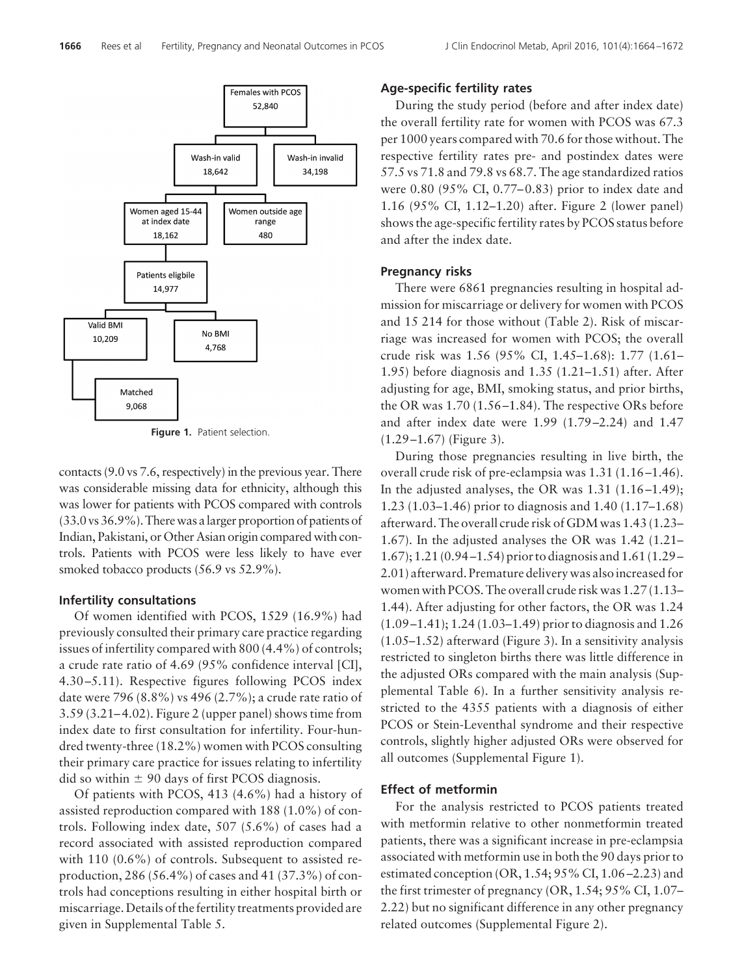

**Figure 1.** Patient selection.

contacts (9.0 vs 7.6, respectively) in the previous year. There was considerable missing data for ethnicity, although this was lower for patients with PCOS compared with controls (33.0 vs 36.9%).There was alarger proportion of patients of Indian, Pakistani, or Other Asian origin compared with controls. Patients with PCOS were less likely to have ever smoked tobacco products (56.9 vs 52.9%).

#### **Infertility consultations**

Of women identified with PCOS, 1529 (16.9%) had previously consulted their primary care practice regarding issues of infertility compared with 800 (4.4%) of controls; a crude rate ratio of 4.69 (95% confidence interval [CI], 4.30 –5.11). Respective figures following PCOS index date were 796 (8.8%) vs 496 (2.7%); a crude rate ratio of 3.59 (3.21– 4.02). Figure 2 (upper panel) shows time from index date to first consultation for infertility. Four-hundred twenty-three (18.2%) women with PCOS consulting their primary care practice for issues relating to infertility did so within  $\pm$  90 days of first PCOS diagnosis.

Of patients with PCOS, 413 (4.6%) had a history of assisted reproduction compared with 188 (1.0%) of controls. Following index date, 507 (5.6%) of cases had a record associated with assisted reproduction compared with 110 (0.6%) of controls. Subsequent to assisted reproduction, 286 (56.4%) of cases and 41 (37.3%) of controls had conceptions resulting in either hospital birth or miscarriage. Details of the fertility treatments provided are given in Supplemental Table 5.

# **Age-specific fertility rates**

During the study period (before and after index date) the overall fertility rate for women with PCOS was 67.3 per 1000 years compared with 70.6 for those without. The respective fertility rates pre- and postindex dates were 57.5 vs 71.8 and 79.8 vs 68.7. The age standardized ratios were 0.80 (95% CI, 0.77– 0.83) prior to index date and 1.16 (95% CI, 1.12–1.20) after. Figure 2 (lower panel) shows the age-specific fertility rates by PCOS status before and after the index date.

#### **Pregnancy risks**

There were 6861 pregnancies resulting in hospital admission for miscarriage or delivery for women with PCOS and 15 214 for those without (Table 2). Risk of miscarriage was increased for women with PCOS; the overall crude risk was 1.56 (95% CI, 1.45–1.68): 1.77 (1.61– 1.95) before diagnosis and 1.35 (1.21–1.51) after. After adjusting for age, BMI, smoking status, and prior births, the OR was 1.70 (1.56 –1.84). The respective ORs before and after index date were 1.99 (1.79 –2.24) and 1.47  $(1.29 - 1.67)$  (Figure 3).

During those pregnancies resulting in live birth, the overall crude risk of pre-eclampsia was 1.31 (1.16 –1.46). In the adjusted analyses, the OR was  $1.31$   $(1.16-1.49)$ ; 1.23 (1.03–1.46) prior to diagnosis and 1.40 (1.17–1.68) afterward. The overall crude risk of GDM was 1.43 (1.23– 1.67). In the adjusted analyses the OR was 1.42 (1.21– 1.67); 1.21 (0.94 –1.54) prior to diagnosis and 1.61 (1.29 – 2.01) afterward. Premature delivery was also increased for women with PCOS. The overall crude risk was 1.27 (1.13– 1.44). After adjusting for other factors, the OR was 1.24 (1.09 –1.41); 1.24 (1.03–1.49) prior to diagnosis and 1.26 (1.05–1.52) afterward (Figure 3). In a sensitivity analysis restricted to singleton births there was little difference in the adjusted ORs compared with the main analysis (Supplemental Table 6). In a further sensitivity analysis restricted to the 4355 patients with a diagnosis of either PCOS or Stein-Leventhal syndrome and their respective controls, slightly higher adjusted ORs were observed for all outcomes (Supplemental Figure 1).

# **Effect of metformin**

For the analysis restricted to PCOS patients treated with metformin relative to other nonmetformin treated patients, there was a significant increase in pre-eclampsia associated with metformin use in both the 90 days prior to estimated conception  $(OR, 1.54; 95\% \text{ CI}, 1.06-2.23)$  and the first trimester of pregnancy (OR, 1.54; 95% CI, 1.07– 2.22) but no significant difference in any other pregnancy related outcomes (Supplemental Figure 2).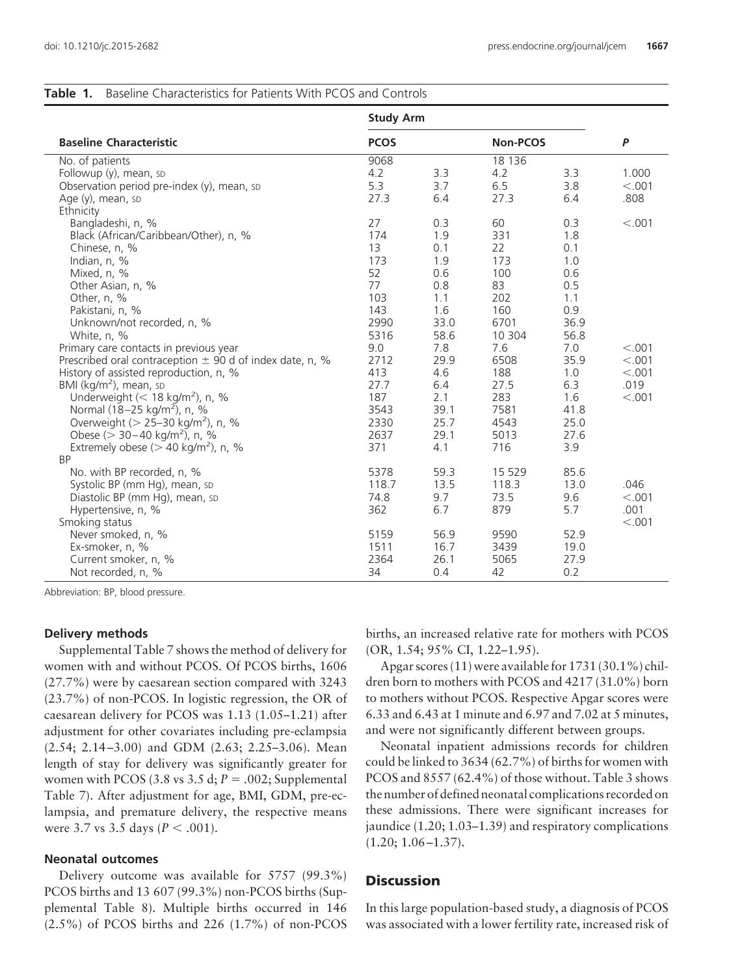| <b>Table 1.</b> Baseline Characteristics for Patients With PCOS and Controls |  |  |
|------------------------------------------------------------------------------|--|--|
|------------------------------------------------------------------------------|--|--|

|                                                                                                                                                                                                                                                                                                                                                                                                                                                               | <b>Study Arm</b>                                                         |                                                                         |                                                                            |                                                                         |                                               |
|---------------------------------------------------------------------------------------------------------------------------------------------------------------------------------------------------------------------------------------------------------------------------------------------------------------------------------------------------------------------------------------------------------------------------------------------------------------|--------------------------------------------------------------------------|-------------------------------------------------------------------------|----------------------------------------------------------------------------|-------------------------------------------------------------------------|-----------------------------------------------|
| <b>Baseline Characteristic</b>                                                                                                                                                                                                                                                                                                                                                                                                                                | <b>PCOS</b>                                                              |                                                                         | Non-PCOS                                                                   |                                                                         | P                                             |
| No. of patients<br>Followup (y), mean, sp<br>Observation period pre-index (y), mean, sp<br>Age (y), mean, sp                                                                                                                                                                                                                                                                                                                                                  | 9068<br>4.2<br>5.3<br>27.3                                               | 3.3<br>3.7<br>6.4                                                       | 18 13 6<br>4.2<br>6.5<br>27.3                                              | 3.3<br>3.8<br>6.4                                                       | 1.000<br>< 0.001<br>.808                      |
| Ethnicity<br>Bangladeshi, n, %<br>Black (African/Caribbean/Other), n, %<br>Chinese, n, %<br>Indian, $n, \%$<br>Mixed, n, %<br>Other Asian, n, %<br>Other, n, %<br>Pakistani, n, %<br>Unknown/not recorded, n, %                                                                                                                                                                                                                                               | 27<br>174<br>13<br>173<br>52<br>77<br>103<br>143<br>2990                 | 0.3<br>1.9<br>0.1<br>1.9<br>0.6<br>0.8<br>1.1<br>1.6<br>33.0            | 60<br>331<br>22<br>173<br>100<br>83<br>202<br>160<br>6701                  | 0.3<br>1.8<br>0.1<br>1.0<br>0.6<br>0.5<br>1.1<br>0.9<br>36.9            | < 0.001                                       |
| White, n, %<br>Primary care contacts in previous year<br>Prescribed oral contraception $\pm$ 90 d of index date, n, %<br>History of assisted reproduction, n, %<br>BMI (kg/m <sup>2</sup> ), mean, sp<br>Underweight ( $<$ 18 kg/m <sup>2</sup> ), n, %<br>Normal (18–25 kg/m <sup>2</sup> ), n, %<br>Overweight ( $> 25 - 30$ kg/m <sup>2</sup> ), n, %<br>Obese ( $>$ 30-40 kg/m <sup>2</sup> ), n, %<br>Extremely obese ( $>$ 40 kg/m <sup>2</sup> ), n, % | 5316<br>9.0<br>2712<br>413<br>27.7<br>187<br>3543<br>2330<br>2637<br>371 | 58.6<br>7.8<br>29.9<br>4.6<br>6.4<br>2.1<br>39.1<br>25.7<br>29.1<br>4.1 | 10 304<br>7.6<br>6508<br>188<br>27.5<br>283<br>7581<br>4543<br>5013<br>716 | 56.8<br>7.0<br>35.9<br>1.0<br>6.3<br>1.6<br>41.8<br>25.0<br>27.6<br>3.9 | < .001<br>< .001<br>< .001<br>.019<br>< 0.001 |
| <b>BP</b><br>No. with BP recorded, n, %<br>Systolic BP (mm Hg), mean, sp<br>Diastolic BP (mm Hg), mean, sp<br>Hypertensive, n, %<br>Smoking status<br>Never smoked, n, %<br>Ex-smoker, n, %<br>Current smoker, n, %<br>Not recorded, n, %                                                                                                                                                                                                                     | 5378<br>118.7<br>74.8<br>362<br>5159<br>1511<br>2364<br>34               | 59.3<br>13.5<br>9.7<br>6.7<br>56.9<br>16.7<br>26.1<br>0.4               | 15 5 29<br>118.3<br>73.5<br>879<br>9590<br>3439<br>5065<br>42              | 85.6<br>13.0<br>9.6<br>5.7<br>52.9<br>19.0<br>27.9<br>0.2               | .046<br>< 0.001<br>.001<br>< 0.001            |

Abbreviation: BP, blood pressure.

#### **Delivery methods**

Supplemental Table 7 shows the method of delivery for women with and without PCOS. Of PCOS births, 1606 (27.7%) were by caesarean section compared with 3243 (23.7%) of non-PCOS. In logistic regression, the OR of caesarean delivery for PCOS was 1.13 (1.05–1.21) after adjustment for other covariates including pre-eclampsia (2.54; 2.14 –3.00) and GDM (2.63; 2.25–3.06). Mean length of stay for delivery was significantly greater for women with PCOS (3.8 vs 3.5 d;  $P = .002$ ; Supplemental Table 7). After adjustment for age, BMI, GDM, pre-eclampsia, and premature delivery, the respective means were 3.7 vs 3.5 days ( $P < .001$ ).

# **Neonatal outcomes**

Delivery outcome was available for 5757 (99.3%) PCOS births and 13 607 (99.3%) non-PCOS births (Supplemental Table 8). Multiple births occurred in 146 (2.5%) of PCOS births and 226 (1.7%) of non-PCOS births, an increased relative rate for mothers with PCOS (OR, 1.54; 95% CI, 1.22–1.95).

Apgar scores (11) were available for 1731 (30.1%) children born to mothers with PCOS and 4217 (31.0%) born to mothers without PCOS. Respective Apgar scores were 6.33 and 6.43 at 1 minute and 6.97 and 7.02 at 5 minutes, and were not significantly different between groups.

Neonatal inpatient admissions records for children could be linked to 3634 (62.7%) of births for women with PCOS and 8557 (62.4%) of those without. Table 3 shows the number of defined neonatal complications recorded on these admissions. There were significant increases for jaundice (1.20; 1.03–1.39) and respiratory complications  $(1.20; 1.06 - 1.37).$ 

# **Discussion**

In this large population-based study, a diagnosis of PCOS was associated with a lower fertility rate, increased risk of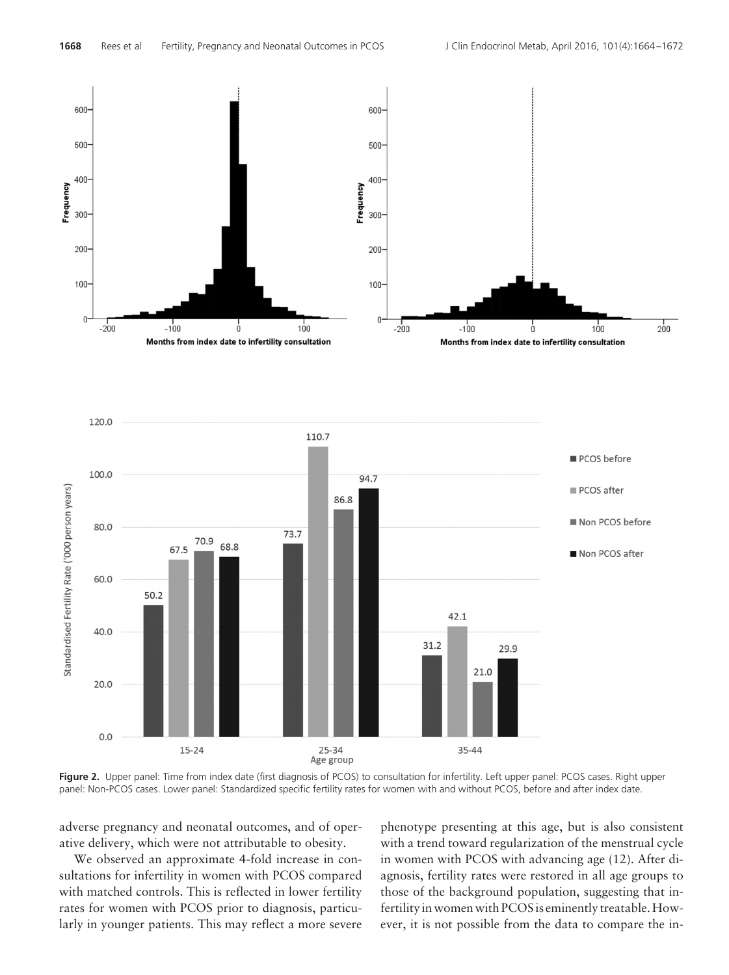

**Figure 2.** Upper panel: Time from index date (first diagnosis of PCOS) to consultation for infertility. Left upper panel: PCOS cases. Right upper panel: Non-PCOS cases. Lower panel: Standardized specific fertility rates for women with and without PCOS, before and after index date.

adverse pregnancy and neonatal outcomes, and of operative delivery, which were not attributable to obesity.

We observed an approximate 4-fold increase in consultations for infertility in women with PCOS compared with matched controls. This is reflected in lower fertility rates for women with PCOS prior to diagnosis, particularly in younger patients. This may reflect a more severe phenotype presenting at this age, but is also consistent with a trend toward regularization of the menstrual cycle in women with PCOS with advancing age (12). After diagnosis, fertility rates were restored in all age groups to those of the background population, suggesting that infertility in women with PCOS is eminently treatable. However, it is not possible from the data to compare the in-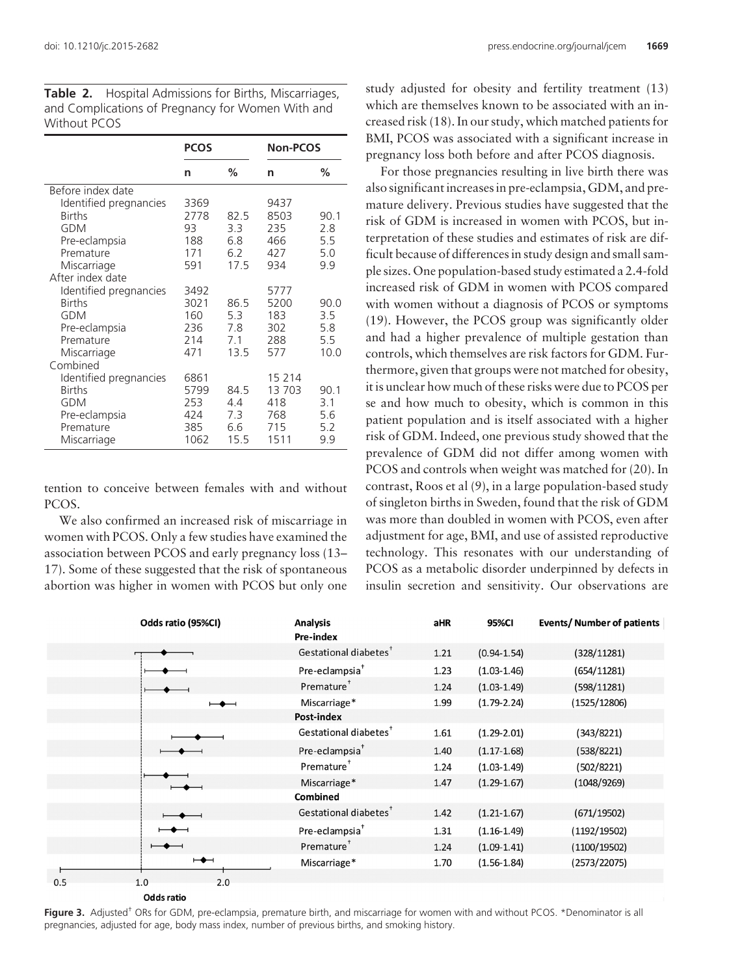|                        | <b>PCOS</b> |      | <b>Non-PCOS</b> |      |
|------------------------|-------------|------|-----------------|------|
|                        | n           | ℅    | n               | %    |
| Before index date      |             |      |                 |      |
| Identified pregnancies | 3369        |      | 9437            |      |
| <b>Births</b>          | 2778        | 82.5 | 8503            | 90.1 |
| GDM                    | 93          | 3.3  | 235             | 2.8  |
| Pre-eclampsia          | 188         | 6.8  | 466             | 5.5  |
| Premature              | 171         | 6.2  | 427             | 5.0  |
| Miscarriage            | 591         | 17.5 | 934             | 9.9  |
| After index date       |             |      |                 |      |
| Identified pregnancies | 3492        |      | 5777            |      |
| <b>Births</b>          | 3021        | 86.5 | 5200            | 90.0 |
| <b>GDM</b>             | 160         | 5.3  | 183             | 3.5  |
| Pre-eclampsia          | 236         | 7.8  | 302             | 5.8  |
| Premature              | 214         | 7.1  | 288             | 5.5  |
| Miscarriage            | 471         | 13.5 | 577             | 10.0 |
| Combined               |             |      |                 |      |
| Identified pregnancies | 6861        |      | 15 2 14         |      |
| <b>Births</b>          | 5799        | 84.5 | 13703           | 90.1 |
| <b>GDM</b>             | 253         | 4.4  | 418             | 3.1  |
| Pre-eclampsia          | 424         | 7.3  | 768             | 5.6  |
| Premature              | 385         | 6.6  | 715             | 5.2  |
| Miscarriage            | 1062        | 15.5 | 1511            | 9.9  |

**Table 2.** Hospital Admissions for Births, Miscarriages, and Complications of Pregnancy for Women With and Without PCOS

tention to conceive between females with and without PCOS.

We also confirmed an increased risk of miscarriage in women with PCOS. Only a few studies have examined the association between PCOS and early pregnancy loss (13– 17). Some of these suggested that the risk of spontaneous abortion was higher in women with PCOS but only one

study adjusted for obesity and fertility treatment (13) which are themselves known to be associated with an increased risk (18). In our study, which matched patients for BMI, PCOS was associated with a significant increase in pregnancy loss both before and after PCOS diagnosis.

For those pregnancies resulting in live birth there was also significant increases in pre-eclampsia, GDM, and premature delivery. Previous studies have suggested that the risk of GDM is increased in women with PCOS, but interpretation of these studies and estimates of risk are difficult because of differences in study design and small sample sizes. One population-based study estimated a 2.4-fold increased risk of GDM in women with PCOS compared with women without a diagnosis of PCOS or symptoms (19). However, the PCOS group was significantly older and had a higher prevalence of multiple gestation than controls, which themselves are risk factors for GDM. Furthermore, given that groups were not matched for obesity, it is unclear how much of these risks were due to PCOS per se and how much to obesity, which is common in this patient population and is itself associated with a higher risk of GDM. Indeed, one previous study showed that the prevalence of GDM did not differ among women with PCOS and controls when weight was matched for (20). In contrast, Roos et al (9), in a large population-based study of singleton births in Sweden, found that the risk of GDM was more than doubled in women with PCOS, even after adjustment for age, BMI, and use of assisted reproductive technology. This resonates with our understanding of PCOS as a metabolic disorder underpinned by defects in insulin secretion and sensitivity. Our observations are

| Odds ratio (95%CI)       | <b>Analysis</b><br>Pre-index      | aHR  | 95%CI           | <b>Events/ Number of patients</b> |
|--------------------------|-----------------------------------|------|-----------------|-----------------------------------|
|                          | Gestational diabetes <sup>†</sup> | 1.21 | $(0.94 - 1.54)$ | (328/11281)                       |
|                          | Pre-eclampsia <sup>+</sup>        | 1.23 | $(1.03 - 1.46)$ | (654/11281)                       |
|                          | Premature <sup>+</sup>            | 1.24 | $(1.03 - 1.49)$ | (598/11281)                       |
| $\overline{\phantom{0}}$ | Miscarriage*                      | 1.99 | $(1.79 - 2.24)$ | (1525/12806)                      |
|                          | Post-index                        |      |                 |                                   |
|                          | Gestational diabetes <sup>†</sup> | 1.61 | $(1.29 - 2.01)$ | (343/8221)                        |
|                          | Pre-eclampsia <sup>+</sup>        | 1.40 | $(1.17 - 1.68)$ | (538/8221)                        |
|                          | Premature <sup>†</sup>            | 1.24 | $(1.03 - 1.49)$ | (502/8221)                        |
|                          | Miscarriage*                      | 1.47 | $(1.29-1.67)$   | (1048/9269)                       |
|                          | <b>Combined</b>                   |      |                 |                                   |
|                          | Gestational diabetes <sup>T</sup> | 1.42 | $(1.21 - 1.67)$ | (671/19502)                       |
|                          | Pre-eclampsia <sup>+</sup>        | 1.31 | $(1.16-1.49)$   | (1192/19502)                      |
|                          | Premature <sup>+</sup>            | 1.24 | $(1.09-1.41)$   | (1100/19502)                      |
| $\mapsto$                | Miscarriage*                      | 1.70 | $(1.56 - 1.84)$ | (2573/22075)                      |
| 0.5<br>1.0<br>2.0        |                                   |      |                 |                                   |

**Odds ratio** 

Figure 3. Adjusted<sup>†</sup> ORs for GDM, pre-eclampsia, premature birth, and miscarriage for women with and without PCOS. \*Denominator is all pregnancies, adjusted for age, body mass index, number of previous births, and smoking history.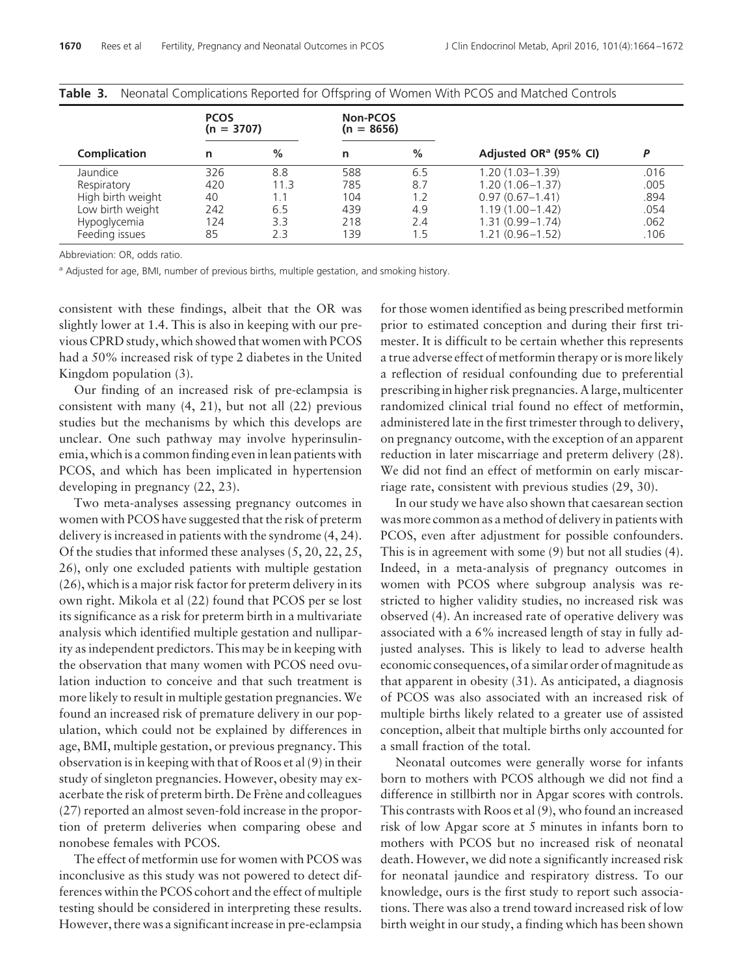|  |                     | <b>PCOS</b><br>$(n = 3707)$ |      | Non-PCOS<br>$(n = 8656)$ |     |                                   |      |
|--|---------------------|-----------------------------|------|--------------------------|-----|-----------------------------------|------|
|  | <b>Complication</b> | n                           | %    | n                        | %   | Adjusted OR <sup>a</sup> (95% CI) | D    |
|  | Jaundice            | 326                         | 8.8  | 588                      | 6.5 | $1.20(1.03 - 1.39)$               | .016 |
|  | Respiratory         | 420                         | 11.3 | 785                      | 8.7 | $1.20(1.06 - 1.37)$               | .005 |
|  | High birth weight   | 40                          | 1.1  | 104                      | 1.2 | $0.97(0.67 - 1.41)$               | .894 |
|  | Low birth weight    | 242                         | 6.5  | 439                      | 4.9 | $1.19(1.00 - 1.42)$               | .054 |
|  | Hypoglycemia        | 124                         | 3.3  | 218                      | 2.4 | $1.31(0.99 - 1.74)$               | .062 |
|  | Feeding issues      | 85                          | 2.3  | 139                      | 1.5 | $1.21(0.96 - 1.52)$               | .106 |
|  |                     |                             |      |                          |     |                                   |      |

| <b>Table 3.</b> Neonatal Complications Reported for Offspring of Women With PCOS and Matched Controls |  |  |  |  |
|-------------------------------------------------------------------------------------------------------|--|--|--|--|
|                                                                                                       |  |  |  |  |

Abbreviation: OR, odds ratio.

<sup>a</sup> Adjusted for age, BMI, number of previous births, multiple gestation, and smoking history.

consistent with these findings, albeit that the OR was slightly lower at 1.4. This is also in keeping with our previous CPRD study, which showed that women with PCOS had a 50% increased risk of type 2 diabetes in the United Kingdom population (3).

Our finding of an increased risk of pre-eclampsia is consistent with many (4, 21), but not all (22) previous studies but the mechanisms by which this develops are unclear. One such pathway may involve hyperinsulinemia, which is a common finding even in lean patients with PCOS, and which has been implicated in hypertension developing in pregnancy (22, 23).

Two meta-analyses assessing pregnancy outcomes in women with PCOS have suggested that the risk of preterm delivery is increased in patients with the syndrome (4, 24). Of the studies that informed these analyses (5, 20, 22, 25, 26), only one excluded patients with multiple gestation (26), which is a major risk factor for preterm delivery in its own right. Mikola et al (22) found that PCOS per se lost its significance as a risk for preterm birth in a multivariate analysis which identified multiple gestation and nulliparity as independent predictors. This may be in keeping with the observation that many women with PCOS need ovulation induction to conceive and that such treatment is more likely to result in multiple gestation pregnancies. We found an increased risk of premature delivery in our population, which could not be explained by differences in age, BMI, multiple gestation, or previous pregnancy. This observation is in keeping with that of Roos et al (9) in their study of singleton pregnancies. However, obesity may exacerbate the risk of preterm birth. De Frène and colleagues (27) reported an almost seven-fold increase in the proportion of preterm deliveries when comparing obese and nonobese females with PCOS.

The effect of metformin use for women with PCOS was inconclusive as this study was not powered to detect differences within the PCOS cohort and the effect of multiple testing should be considered in interpreting these results. However, there was a significant increase in pre-eclampsia for those women identified as being prescribed metformin prior to estimated conception and during their first trimester. It is difficult to be certain whether this represents a true adverse effect of metformin therapy or is more likely a reflection of residual confounding due to preferential prescribing in higher risk pregnancies. A large, multicenter randomized clinical trial found no effect of metformin, administered late in the first trimester through to delivery, on pregnancy outcome, with the exception of an apparent reduction in later miscarriage and preterm delivery (28). We did not find an effect of metformin on early miscarriage rate, consistent with previous studies (29, 30).

In our study we have also shown that caesarean section was more common as a method of delivery in patients with PCOS, even after adjustment for possible confounders. This is in agreement with some (9) but not all studies (4). Indeed, in a meta-analysis of pregnancy outcomes in women with PCOS where subgroup analysis was restricted to higher validity studies, no increased risk was observed (4). An increased rate of operative delivery was associated with a 6% increased length of stay in fully adjusted analyses. This is likely to lead to adverse health economic consequences, of a similar order of magnitude as that apparent in obesity (31). As anticipated, a diagnosis of PCOS was also associated with an increased risk of multiple births likely related to a greater use of assisted conception, albeit that multiple births only accounted for a small fraction of the total.

Neonatal outcomes were generally worse for infants born to mothers with PCOS although we did not find a difference in stillbirth nor in Apgar scores with controls. This contrasts with Roos et al (9), who found an increased risk of low Apgar score at 5 minutes in infants born to mothers with PCOS but no increased risk of neonatal death. However, we did note a significantly increased risk for neonatal jaundice and respiratory distress. To our knowledge, ours is the first study to report such associations. There was also a trend toward increased risk of low birth weight in our study, a finding which has been shown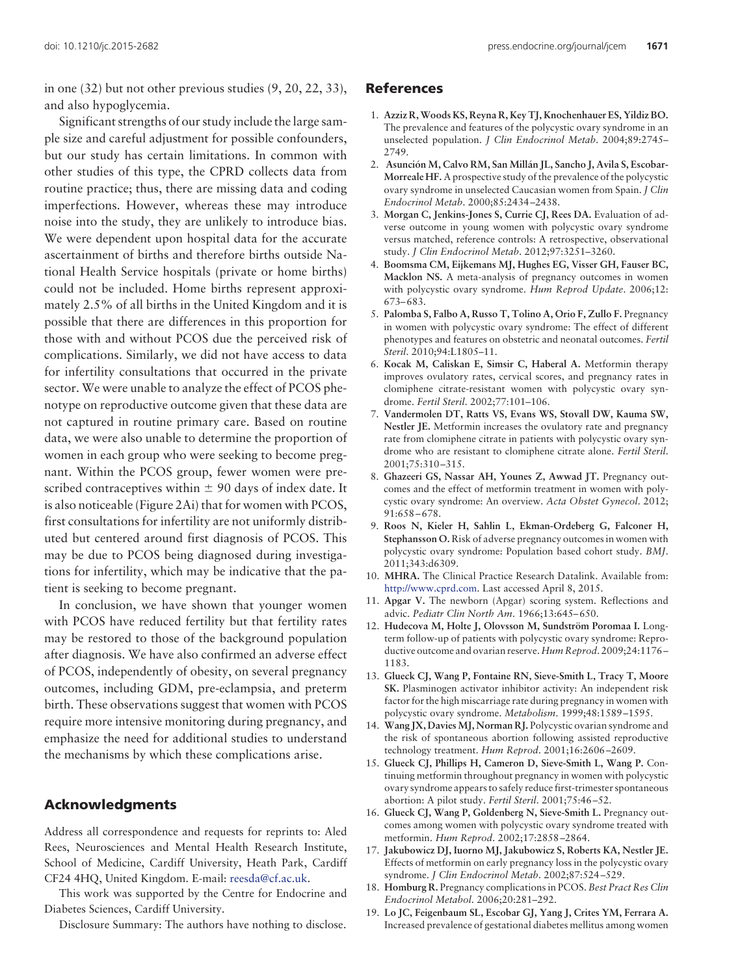in one (32) but not other previous studies (9, 20, 22, 33), and also hypoglycemia.

Significant strengths of our study include the large sample size and careful adjustment for possible confounders, but our study has certain limitations. In common with other studies of this type, the CPRD collects data from routine practice; thus, there are missing data and coding imperfections. However, whereas these may introduce noise into the study, they are unlikely to introduce bias. We were dependent upon hospital data for the accurate ascertainment of births and therefore births outside National Health Service hospitals (private or home births) could not be included. Home births represent approximately 2.5% of all births in the United Kingdom and it is possible that there are differences in this proportion for those with and without PCOS due the perceived risk of complications. Similarly, we did not have access to data for infertility consultations that occurred in the private sector. We were unable to analyze the effect of PCOS phenotype on reproductive outcome given that these data are not captured in routine primary care. Based on routine data, we were also unable to determine the proportion of women in each group who were seeking to become pregnant. Within the PCOS group, fewer women were prescribed contraceptives within  $\pm$  90 days of index date. It is also noticeable (Figure 2Ai) that for women with PCOS, first consultations for infertility are not uniformly distributed but centered around first diagnosis of PCOS. This may be due to PCOS being diagnosed during investigations for infertility, which may be indicative that the patient is seeking to become pregnant.

In conclusion, we have shown that younger women with PCOS have reduced fertility but that fertility rates may be restored to those of the background population after diagnosis. We have also confirmed an adverse effect of PCOS, independently of obesity, on several pregnancy outcomes, including GDM, pre-eclampsia, and preterm birth. These observations suggest that women with PCOS require more intensive monitoring during pregnancy, and emphasize the need for additional studies to understand the mechanisms by which these complications arise.

# **Acknowledgments**

Address all correspondence and requests for reprints to: Aled Rees, Neurosciences and Mental Health Research Institute, School of Medicine, Cardiff University, Heath Park, Cardiff CF24 4HQ, United Kingdom. E-mail: [reesda@cf.ac.uk.](mailto:reesda@cf.ac.uk)

This work was supported by the Centre for Endocrine and Diabetes Sciences, Cardiff University.

Disclosure Summary: The authors have nothing to disclose.

# **References**

- 1. **Azziz R, Woods KS, Reyna R, Key TJ, Knochenhauer ES, Yildiz BO.** The prevalence and features of the polycystic ovary syndrome in an unselected population. *J Clin Endocrinol Metab*. 2004;89:2745– 2749.
- 2. **Asunción M, Calvo RM, San Millán JL, Sancho J, Avila S, Escobar-Morreale HF.** A prospective study of the prevalence of the polycystic ovary syndrome in unselected Caucasian women from Spain. *J Clin Endocrinol Metab*. 2000;85:2434 –2438.
- 3. **Morgan C, Jenkins-Jones S, Currie CJ, Rees DA.** Evaluation of adverse outcome in young women with polycystic ovary syndrome versus matched, reference controls: A retrospective, observational study. *J Clin Endocrinol Metab*. 2012;97:3251–3260.
- 4. **Boomsma CM, Eijkemans MJ, Hughes EG, Visser GH, Fauser BC, Macklon NS.** A meta-analysis of pregnancy outcomes in women with polycystic ovary syndrome. *Hum Reprod Update*. 2006;12: 673– 683.
- 5. **Palomba S, Falbo A, Russo T, Tolino A, Orio F, Zullo F.** Pregnancy in women with polycystic ovary syndrome: The effect of different phenotypes and features on obstetric and neonatal outcomes. *Fertil Steril*. 2010;94:L1805–11.
- 6. **Kocak M, Caliskan E, Simsir C, Haberal A.** Metformin therapy improves ovulatory rates, cervical scores, and pregnancy rates in clomiphene citrate-resistant women with polycystic ovary syndrome. *Fertil Steril*. 2002;77:101–106.
- 7. **Vandermolen DT, Ratts VS, Evans WS, Stovall DW, Kauma SW, Nestler JE.** Metformin increases the ovulatory rate and pregnancy rate from clomiphene citrate in patients with polycystic ovary syndrome who are resistant to clomiphene citrate alone. *Fertil Steril*. 2001;75:310 –315.
- 8. **Ghazeeri GS, Nassar AH, Younes Z, Awwad JT.** Pregnancy outcomes and the effect of metformin treatment in women with polycystic ovary syndrome: An overview. *Acta Obstet Gynecol*. 2012; 91:658 – 678.
- 9. **Roos N, Kieler H, Sahlin L, Ekman-Ordeberg G, Falconer H, Stephansson O.** Risk of adverse pregnancy outcomes in women with polycystic ovary syndrome: Population based cohort study. *BMJ*. 2011;343:d6309.
- 10. **MHRA.** The Clinical Practice Research Datalink. Available from: [http://www.cprd.com.](http://www.cprd.com) Last accessed April 8, 2015.
- 11. **Apgar V.** The newborn (Apgar) scoring system. Reflections and advic. *Pediatr Clin North Am*. 1966;13:645– 650.
- 12. **Hudecova M, Holte J, Olovsson M, Sundström Poromaa I.** Longterm follow-up of patients with polycystic ovary syndrome: Reproductive outcome and ovarian reserve. *Hum Reprod*. 2009;24:1176 – 1183.
- 13. **Glueck CJ, Wang P, Fontaine RN, Sieve-Smith L, Tracy T, Moore SK.** Plasminogen activator inhibitor activity: An independent risk factor for the high miscarriage rate during pregnancy in women with polycystic ovary syndrome. *Metabolism*. 1999;48:1589 –1595.
- 14. **Wang JX, DaviesMJ, Norman RJ.** Polycystic ovarian syndrome and the risk of spontaneous abortion following assisted reproductive technology treatment. *Hum Reprod*. 2001;16:2606 –2609.
- 15. **Glueck CJ, Phillips H, Cameron D, Sieve-Smith L, Wang P.** Continuing metformin throughout pregnancy in women with polycystic ovary syndrome appears to safely reduce first-trimester spontaneous abortion: A pilot study. *Fertil Steril*. 2001;75:46 –52.
- 16. **Glueck CJ, Wang P, Goldenberg N, Sieve-Smith L.** Pregnancy outcomes among women with polycystic ovary syndrome treated with metformin. *Hum Reprod*. 2002;17:2858 –2864.
- 17. **Jakubowicz DJ, Iuorno MJ, Jakubowicz S, Roberts KA, Nestler JE.** Effects of metformin on early pregnancy loss in the polycystic ovary syndrome. *J Clin Endocrinol Metab*. 2002;87:524 –529.
- 18. **Homburg R.** Pregnancy complications in PCOS. *Best Pract Res Clin Endocrinol Metabol*. 2006;20:281–292.
- 19. **Lo JC, Feigenbaum SL, Escobar GJ, Yang J, Crites YM, Ferrara A.** Increased prevalence of gestational diabetes mellitus among women